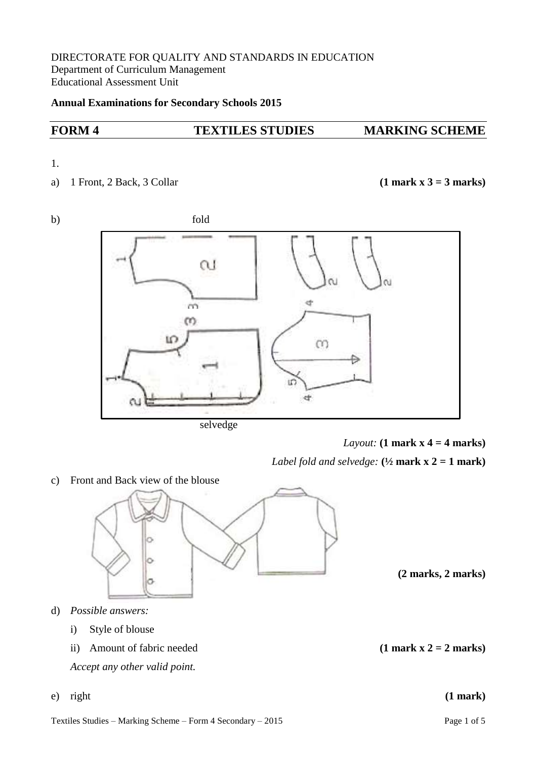## DIRECTORATE FOR QUALITY AND STANDARDS IN EDUCATION Department of Curriculum Management Educational Assessment Unit

## **Annual Examinations for Secondary Schools 2015**

# **FORM 4 TEXTILES STUDIES MARKING SCHEME**

## 1.

a) 1 Front, 2 Back, 3 Collar **(1 mark x 3 = 3 marks)**



selvedge

*Layout:* **(1 mark x 4 = 4 marks)**

*Label fold and selvedge:*  $(\frac{1}{2} \text{mark } x \text{ )} = 1 \text{mark}$ 

c) Front and Back view of the blouse



**(2 marks, 2 marks)**

- d) *Possible answers:*
	- i) Style of blouse
	- ii) Amount of fabric needed  $(1 \text{ mark } x \cdot 2 = 2 \text{ marks})$

*Accept any other valid point.*

e) right **(1 mark)**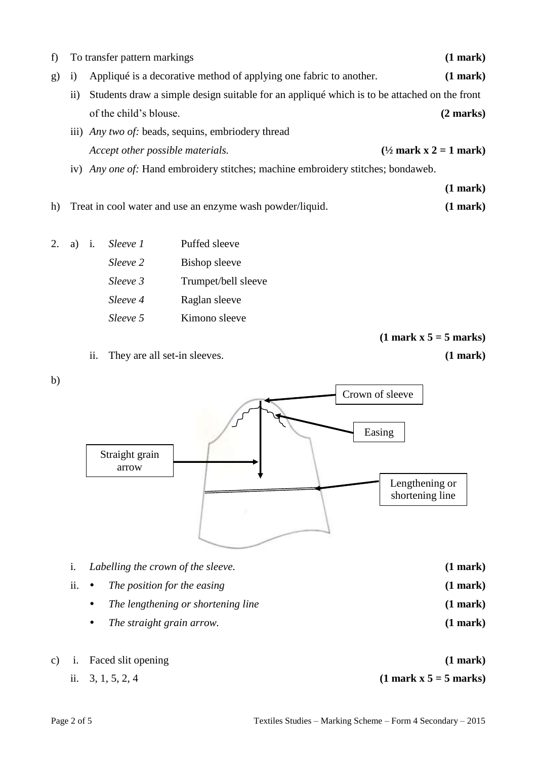| f) | To transfer pattern markings                                                            |                                                                                             |                                  |               |                                   |  |  |
|----|-----------------------------------------------------------------------------------------|---------------------------------------------------------------------------------------------|----------------------------------|---------------|-----------------------------------|--|--|
| g) | Appliqué is a decorative method of applying one fabric to another.<br>1)                |                                                                                             |                                  | (1 mark)      |                                   |  |  |
|    | $\overline{11}$                                                                         | Students draw a simple design suitable for an appliqué which is to be attached on the front |                                  |               |                                   |  |  |
|    |                                                                                         | of the child's blouse.                                                                      | $(2 \text{ marks})$              |               |                                   |  |  |
|    | iii) <i>Any two of:</i> beads, sequins, embriodery thread                               |                                                                                             |                                  |               |                                   |  |  |
|    |                                                                                         |                                                                                             | Accept other possible materials. |               | $(\frac{1}{2}$ mark x 2 = 1 mark) |  |  |
|    | iv) <i>Any one of:</i> Hand embroidery stitches; machine embroidery stitches; bondaweb. |                                                                                             |                                  |               |                                   |  |  |
|    |                                                                                         |                                                                                             |                                  |               | (1 mark)                          |  |  |
| h) | Treat in cool water and use an enzyme wash powder/liquid.                               |                                                                                             |                                  |               |                                   |  |  |
|    |                                                                                         |                                                                                             |                                  |               |                                   |  |  |
|    | a)                                                                                      | $\mathbf{i}$ .                                                                              | Sleeve 1                         | Puffed sleeve |                                   |  |  |
|    |                                                                                         |                                                                                             | Sleeve 2                         | Bishop sleeve |                                   |  |  |

- *Sleeve 3* Trumpet/bell sleeve
- *Sleeve 4* Raglan sleeve
- *Sleeve 5* Kimono sleeve

**(1 mark x 5 = 5 marks)**





- ii. *The position for the easing* **(1 mark)** *The lengthening or shortening line* **(1 mark)**
	- *The straight grain arrow.* **(1 mark)**
- c) i. Faced slit opening **(1 mark)** ii.  $3, 1, 5, 2, 4$  (1 mark x  $5 = 5$  marks)

b)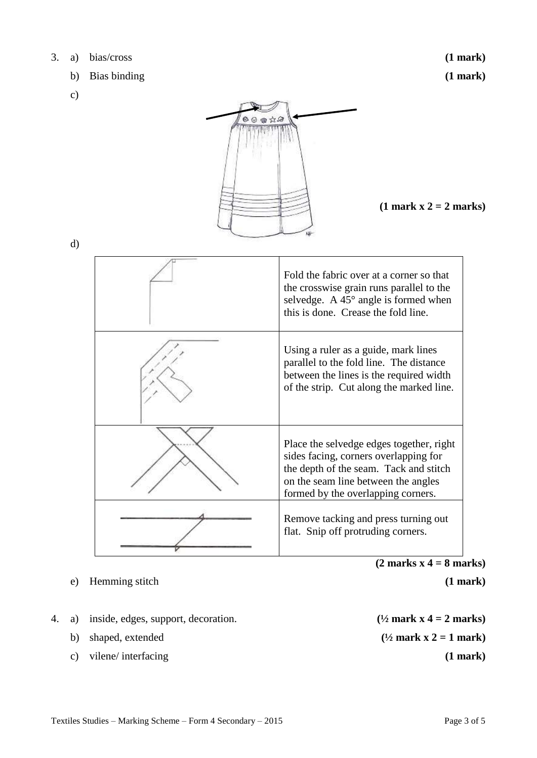- b) Bias binding **(1 mark)**
- c)

 **(1 mark x 2 = 2 marks)**

d)

| Fold the fabric over at a corner so that<br>the crosswise grain runs parallel to the<br>selvedge. A $45^{\circ}$ angle is formed when<br>this is done. Crease the fold line.                             |
|----------------------------------------------------------------------------------------------------------------------------------------------------------------------------------------------------------|
| Using a ruler as a guide, mark lines<br>parallel to the fold line. The distance<br>between the lines is the required width<br>of the strip. Cut along the marked line.                                   |
| Place the selvedge edges together, right<br>sides facing, corners overlapping for<br>the depth of the seam. Tack and stitch<br>on the seam line between the angles<br>formed by the overlapping corners. |
| Remove tacking and press turning out<br>flat. Snip off protruding corners.                                                                                                                               |

 $00$  of  $\lambda$ 

e) Hemming stitch **(1 mark)**

 $\overline{\phantom{a}}$ 

- 4. a) inside, edges, support, decoration.  $(1/2 \text{ mark } x \cdot 4 = 2 \text{ marks})$ 
	-
	- c) vilene/ interfacing **(1 mark)**

**(2 marks x 4 = 8 marks)**

b) shaped, extended  $(^{1/2}$  **mark x 2 = 1 mark**)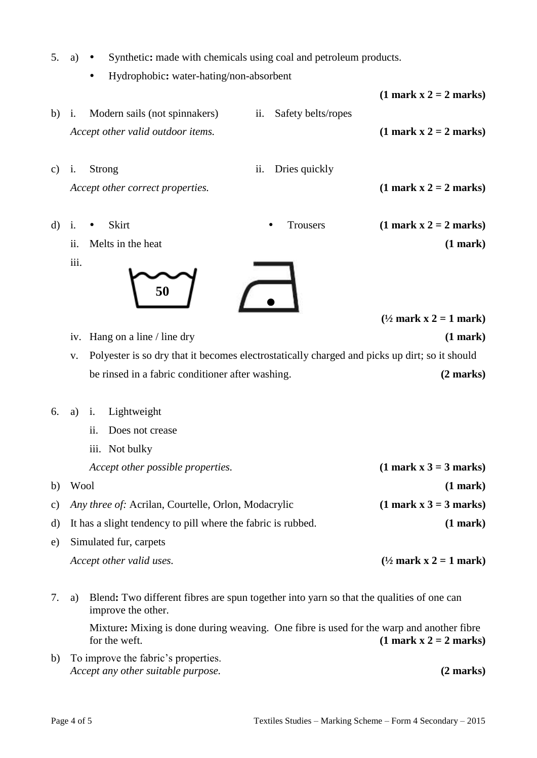- 5. a) Synthetic: made with chemicals using coal and petroleum products.
	- Hydrophobic**:** water-hating/non-absorbent

|               |                                                                                                                      |                                           | $(1 \text{ mark } x 2 = 2 \text{ marks})$             |  |
|---------------|----------------------------------------------------------------------------------------------------------------------|-------------------------------------------|-------------------------------------------------------|--|
| b)            | Modern sails (not spinnakers)<br>i.<br>Accept other valid outdoor items.                                             | Safety belts/ropes<br>ii.                 | $(1 \text{ mark } x 2 = 2 \text{ marks})$             |  |
| $\mathbf{c})$ | Strong<br>i.<br>Accept other correct properties.                                                                     | ii.<br>Dries quickly                      | $(1 \text{ mark } x 2 = 2 \text{ marks})$             |  |
| d)            | Skirt<br>i.<br>Melts in the heat<br>ii.                                                                              | Trousers                                  | $(1 \text{ mark } x 2 = 2 \text{ marks})$<br>(1 mark) |  |
|               | iii.<br>50                                                                                                           |                                           | $(\frac{1}{2}$ mark x 2 = 1 mark)                     |  |
|               | Hang on a line / line dry<br>iv.                                                                                     |                                           | (1 mark)                                              |  |
|               | Polyester is so dry that it becomes electrostatically charged and picks up dirt; so it should<br>V.                  |                                           |                                                       |  |
|               | be rinsed in a fabric conditioner after washing.                                                                     |                                           | $(2 \text{ marks})$                                   |  |
| 6.            | Lightweight<br>a)<br>i.<br>Does not crease<br>ii.<br>iii. Not bulky<br>Accept other possible properties.             |                                           | $(1 \text{ mark } x 3 = 3 \text{ marks})$             |  |
|               | b) Wool                                                                                                              |                                           | (1 mark)                                              |  |
| c)            | Any three of: Acrilan, Courtelle, Orlon, Modacrylic                                                                  | $(1 \text{ mark } x 3 = 3 \text{ marks})$ |                                                       |  |
| d)            | It has a slight tendency to pill where the fabric is rubbed.                                                         |                                           | $(1$ mark $)$                                         |  |
| e)            | Simulated fur, carpets                                                                                               |                                           |                                                       |  |
|               | Accept other valid uses.                                                                                             |                                           | $(\frac{1}{2}$ mark x 2 = 1 mark)                     |  |
| 7.            | Blend: Two different fibres are spun together into yarn so that the qualities of one can<br>a)<br>improve the other. |                                           |                                                       |  |
|               | Mixture: Mixing is done during weaving. One fibre is used for the warp and another fibre<br>for the weft.            |                                           | $(1 \text{ mark } x 2 = 2 \text{ marks})$             |  |
| b)            | To improve the fabric's properties.                                                                                  |                                           |                                                       |  |

 *Accept any other suitable purpose.* **(2 marks)**